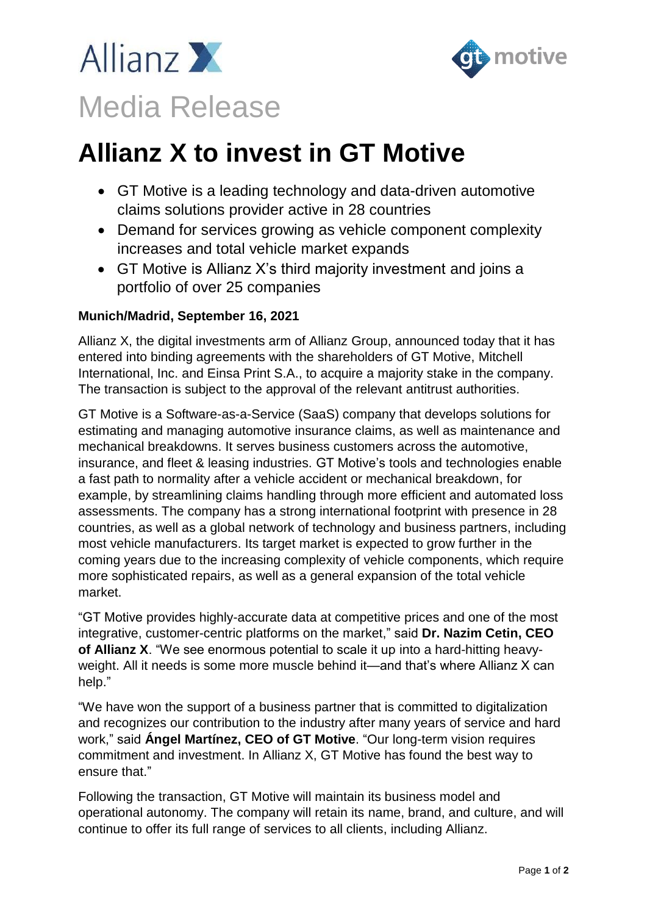



# **Allianz X to invest in GT Motive**

- GT Motive is a leading technology and data-driven automotive claims solutions provider active in 28 countries
- Demand for services growing as vehicle component complexity increases and total vehicle market expands
- GT Motive is Allianz X's third majority investment and joins a portfolio of over 25 companies

## **Munich/Madrid, September 16, 2021**

Allianz X, the digital investments arm of Allianz Group, announced today that it has entered into binding agreements with the shareholders of GT Motive, Mitchell International, Inc. and Einsa Print S.A., to acquire a majority stake in the company. The transaction is subject to the approval of the relevant antitrust authorities.

GT Motive is a Software-as-a-Service (SaaS) company that develops solutions for estimating and managing automotive insurance claims, as well as maintenance and mechanical breakdowns. It serves business customers across the automotive, insurance, and fleet & leasing industries. GT Motive's tools and technologies enable a fast path to normality after a vehicle accident or mechanical breakdown, for example, by streamlining claims handling through more efficient and automated loss assessments. The company has a strong international footprint with presence in 28 countries, as well as a global network of technology and business partners, including most vehicle manufacturers. Its target market is expected to grow further in the coming years due to the increasing complexity of vehicle components, which require more sophisticated repairs, as well as a general expansion of the total vehicle market.

"GT Motive provides highly-accurate data at competitive prices and one of the most integrative, customer-centric platforms on the market," said **Dr. Nazim Cetin, CEO of Allianz X**. "We see enormous potential to scale it up into a hard-hitting heavyweight. All it needs is some more muscle behind it—and that's where Allianz X can help."

"We have won the support of a business partner that is committed to digitalization and recognizes our contribution to the industry after many years of service and hard work," said **Ángel Martínez, CEO of GT Motive**. "Our long-term vision requires commitment and investment. In Allianz X, GT Motive has found the best way to ensure that."

Following the transaction, GT Motive will maintain its business model and operational autonomy. The company will retain its name, brand, and culture, and will continue to offer its full range of services to all clients, including Allianz.